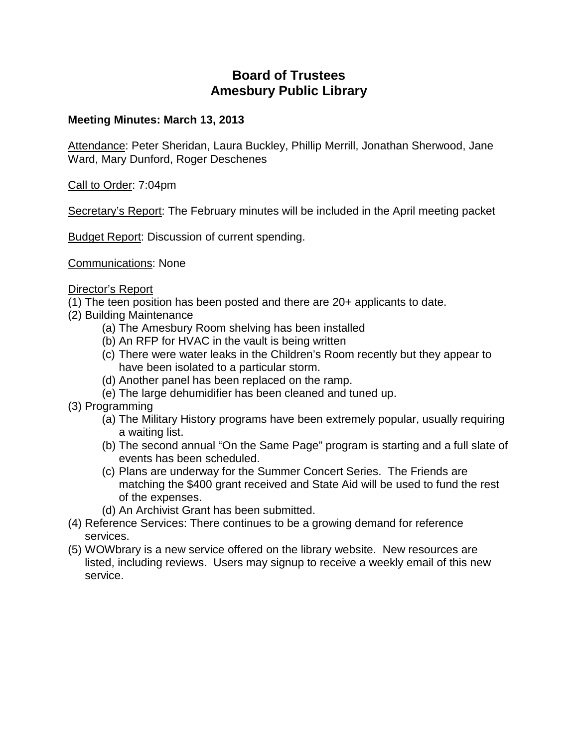# **Board of Trustees Amesbury Public Library**

## **Meeting Minutes: March 13, 2013**

Attendance: Peter Sheridan, Laura Buckley, Phillip Merrill, Jonathan Sherwood, Jane Ward, Mary Dunford, Roger Deschenes

Call to Order: 7:04pm

Secretary's Report: The February minutes will be included in the April meeting packet

**Budget Report: Discussion of current spending.** 

Communications: None

### Director's Report

(1) The teen position has been posted and there are 20+ applicants to date.

- (2) Building Maintenance
	- (a) The Amesbury Room shelving has been installed
	- (b) An RFP for HVAC in the vault is being written
	- (c) There were water leaks in the Children's Room recently but they appear to have been isolated to a particular storm.
	- (d) Another panel has been replaced on the ramp.
	- (e) The large dehumidifier has been cleaned and tuned up.
- (3) Programming
	- (a) The Military History programs have been extremely popular, usually requiring a waiting list.
	- (b) The second annual "On the Same Page" program is starting and a full slate of events has been scheduled.
	- (c) Plans are underway for the Summer Concert Series. The Friends are matching the \$400 grant received and State Aid will be used to fund the rest of the expenses.
	- (d) An Archivist Grant has been submitted.
- (4) Reference Services: There continues to be a growing demand for reference services.
- (5) WOWbrary is a new service offered on the library website. New resources are listed, including reviews. Users may signup to receive a weekly email of this new service.